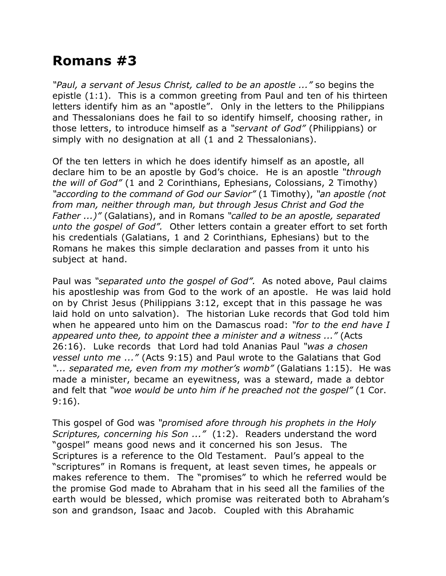## **Romans #3**

*"Paul, a servant of Jesus Christ, called to be an apostle ..."* so begins the epistle (1:1). This is a common greeting from Paul and ten of his thirteen letters identify him as an "apostle". Only in the letters to the Philippians and Thessalonians does he fail to so identify himself, choosing rather, in those letters, to introduce himself as a *"servant of God"* (Philippians) or simply with no designation at all (1 and 2 Thessalonians).

Of the ten letters in which he does identify himself as an apostle, all declare him to be an apostle by God's choice. He is an apostle *"through the will of God"* (1 and 2 Corinthians, Ephesians, Colossians, 2 Timothy) *"according to the command of God our Savior"* (1 Timothy), *"an apostle (not from man, neither through man, but through Jesus Christ and God the Father ...)"* (Galatians), and in Romans *"called to be an apostle, separated unto the gospel of God".* Other letters contain a greater effort to set forth his credentials (Galatians, 1 and 2 Corinthians, Ephesians) but to the Romans he makes this simple declaration and passes from it unto his subject at hand.

Paul was *"separated unto the gospel of God".* As noted above, Paul claims his apostleship was from God to the work of an apostle. He was laid hold on by Christ Jesus (Philippians 3:12, except that in this passage he was laid hold on unto salvation). The historian Luke records that God told him when he appeared unto him on the Damascus road: *"for to the end have I appeared unto thee, to appoint thee a minister and a witness ..."* (Acts 26:16). Luke records that Lord had told Ananias Paul *"was a chosen vessel unto me ..."* (Acts 9:15) and Paul wrote to the Galatians that God *"... separated me, even from my mother's womb"* (Galatians 1:15). He was made a minister, became an eyewitness, was a steward, made a debtor and felt that *"woe would be unto him if he preached not the gospel"* (1 Cor. 9:16).

This gospel of God was *"promised afore through his prophets in the Holy Scriptures, concerning his Son ..."* (1:2). Readers understand the word "gospel" means good news and it concerned his son Jesus. The Scriptures is a reference to the Old Testament. Paul's appeal to the "scriptures" in Romans is frequent, at least seven times, he appeals or makes reference to them. The "promises" to which he referred would be the promise God made to Abraham that in his seed all the families of the earth would be blessed, which promise was reiterated both to Abraham's son and grandson, Isaac and Jacob. Coupled with this Abrahamic